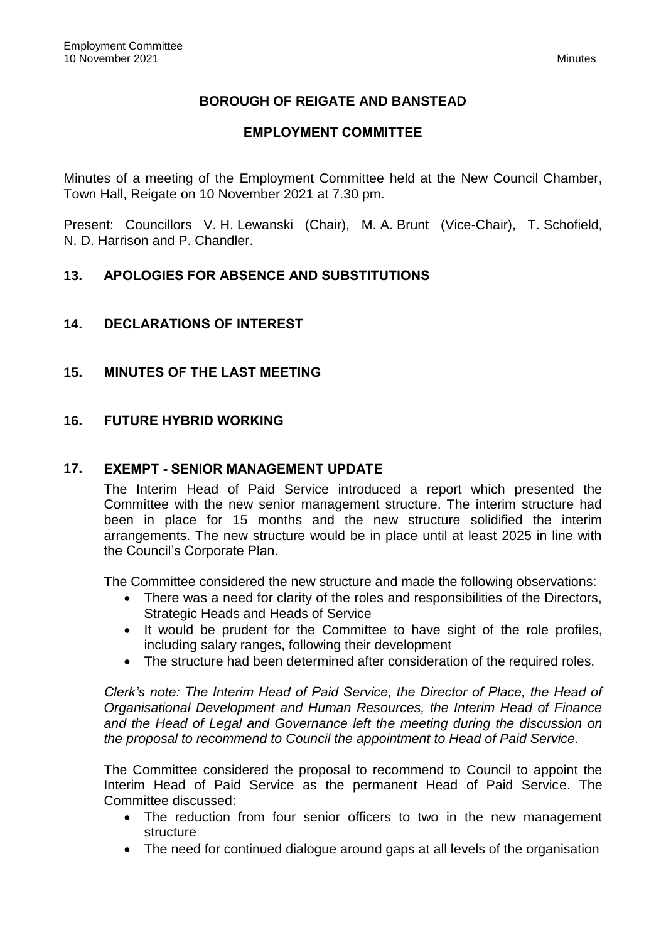# **BOROUGH OF REIGATE AND BANSTEAD**

## **EMPLOYMENT COMMITTEE**

Minutes of a meeting of the Employment Committee held at the New Council Chamber, Town Hall, Reigate on 10 November 2021 at 7.30 pm.

Present: Councillors V. H. Lewanski (Chair), M. A. Brunt (Vice-Chair), T. Schofield, N. D. Harrison and P. Chandler.

## **13. APOLOGIES FOR ABSENCE AND SUBSTITUTIONS**

### **14. DECLARATIONS OF INTEREST**

### **15. MINUTES OF THE LAST MEETING**

### **16. FUTURE HYBRID WORKING**

#### **17. EXEMPT - SENIOR MANAGEMENT UPDATE**

The Interim Head of Paid Service introduced a report which presented the Committee with the new senior management structure. The interim structure had been in place for 15 months and the new structure solidified the interim arrangements. The new structure would be in place until at least 2025 in line with the Council's Corporate Plan.

The Committee considered the new structure and made the following observations:

- There was a need for clarity of the roles and responsibilities of the Directors, Strategic Heads and Heads of Service
- It would be prudent for the Committee to have sight of the role profiles, including salary ranges, following their development
- The structure had been determined after consideration of the required roles.

*Clerk's note: The Interim Head of Paid Service, the Director of Place, the Head of Organisational Development and Human Resources, the Interim Head of Finance and the Head of Legal and Governance left the meeting during the discussion on the proposal to recommend to Council the appointment to Head of Paid Service.*

The Committee considered the proposal to recommend to Council to appoint the Interim Head of Paid Service as the permanent Head of Paid Service. The Committee discussed:

- The reduction from four senior officers to two in the new management structure
- The need for continued dialogue around gaps at all levels of the organisation